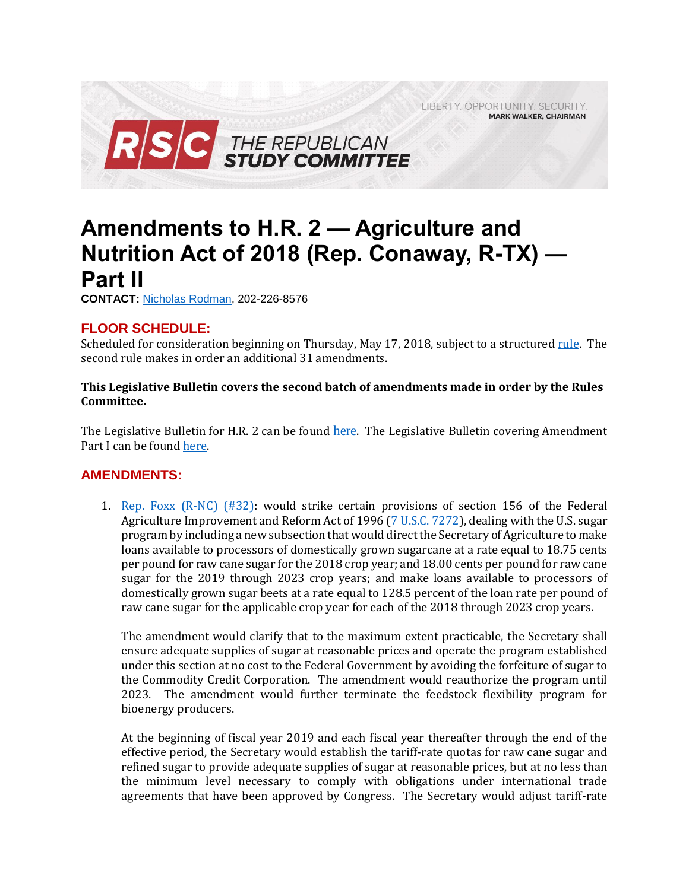LIBERTY. OPPORTUNITY. SECURITY. **MARK WALKER, CHAIRMAN** 



## **Amendments to H.R. 2 — Agriculture and Nutrition Act of 2018 (Rep. Conaway, R-TX) — Part II**

**CONTACT:** [Nicholas Rodman,](mailto:nicholas.rodman@mail.house.gov) 202-226-8576

## **FLOOR SCHEDULE:**

Scheduled for consideration beginning on Thursday, May 17, 2018, subject to a structured <u>rule</u>. The second rule makes in order an additional 31 amendments.

## **This Legislative Bulletin covers the second batch of amendments made in order by the Rules Committee.**

The Legislative Bulletin for H.R. 2 can be found [here](https://gallery.mailchimp.com/d4254037a343b683d142111e0/files/b1149471-563e-446e-a9ec-e5d4118d4c52/Legislative_Bulletin_H.R._2_Farm_Bill_May_16_2018.pdf). The Legislative Bulletin covering Amendment Part I can be found [here.](https://gallery.mailchimp.com/d4254037a343b683d142111e0/files/98d06066-09d1-4187-aae9-fefca2eb6551/Legislative_Bulletin_H.R._2_Farm_Bill_Amendments_Part_1_May_16_2018.pdf)

## **AMENDMENTS:**

1. Rep. Foxx  $(R-NC)$   $(H32)$ : would strike certain provisions of section 156 of the Federal Agriculture Improvement and Reform Act of 1996 [\(7 U.S.C. 7272\)](https://www.law.cornell.edu/uscode/text/7/7272), dealing with the U.S. sugar program by including a new subsection that would direct the Secretary of Agriculture to make loans available to processors of domestically grown sugarcane at a rate equal to 18.75 cents per pound for raw cane sugar for the 2018 crop year; and 18.00 cents per pound for raw cane sugar for the 2019 through 2023 crop years; and make loans available to processors of domestically grown sugar beets at a rate equal to 128.5 percent of the loan rate per pound of raw cane sugar for the applicable crop year for each of the 2018 through 2023 crop years.

The amendment would clarify that to the maximum extent practicable, the Secretary shall ensure adequate supplies of sugar at reasonable prices and operate the program established under this section at no cost to the Federal Government by avoiding the forfeiture of sugar to the Commodity Credit Corporation. The amendment would reauthorize the program until 2023. The amendment would further terminate the feedstock flexibility program for bioenergy producers.

At the beginning of fiscal year 2019 and each fiscal year thereafter through the end of the effective period, the Secretary would establish the tariff-rate quotas for raw cane sugar and refined sugar to provide adequate supplies of sugar at reasonable prices, but at no less than the minimum level necessary to comply with obligations under international trade agreements that have been approved by Congress. The Secretary would adjust tariff-rate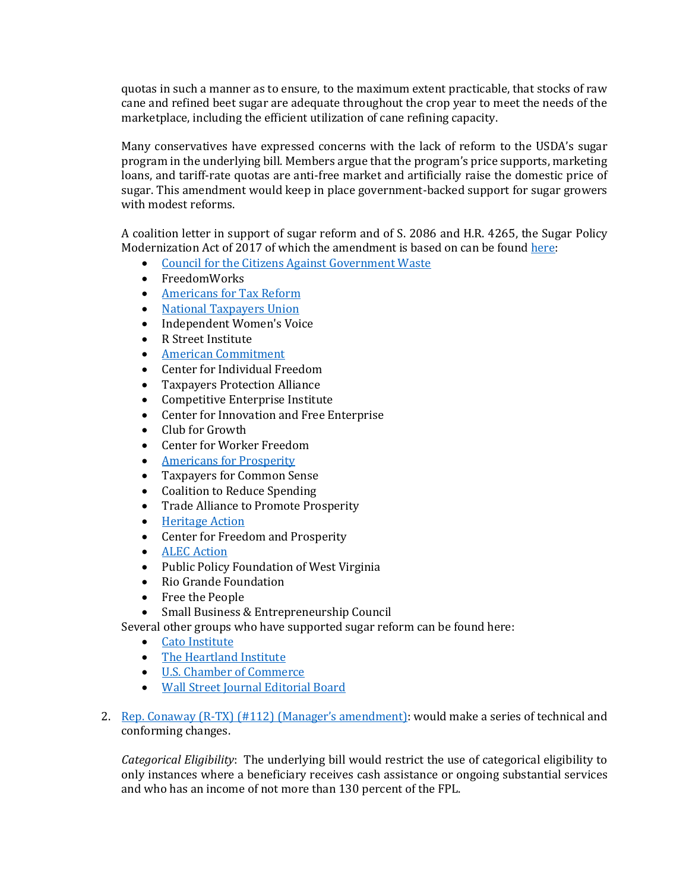quotas in such a manner as to ensure, to the maximum extent practicable, that stocks of raw cane and refined beet sugar are adequate throughout the crop year to meet the needs of the marketplace, including the efficient utilization of cane refining capacity.

Many conservatives have expressed concerns with the lack of reform to the USDA's sugar program in the underlying bill. Members argue that the program's price supports, marketing loans, and tariff-rate quotas are anti-free market and artificially raise the domestic price of sugar. This amendment would keep in place government-backed support for sugar growers with modest reforms.

A coalition letter in support of sugar reform and of S. 2086 and H.R. 4265, the Sugar Policy Modernization Act of 2017 of which the amendment is based on can be found [here:](http://fairsugarpolicy.org/wordpress/wp-content/uploads/2018/04/3rd-Party-Groups-Coalition-Letter-2-21-18.pdf)

- [Council for the Citizens Against Government Waste](http://action.ccagw.org/p/dia/action4/common/public/%3Faction_KEY=21729)
- FreedomWorks
- [Americans for Tax Reform](https://www.atr.org/reforming-sugar-subsidy-will-strengthen-farm-bill)
- [National Taxpayers Union](https://spectator.org/the-sugar-program-is-not-such-a-sweet-deal-for-americans/)
- Independent Women's Voice
- R Street Institute
- [American Commitment](https://www.americancommitment.org/content/farm-bill-should-reform-more-food-stamps)
- Center for Individual Freedom
- Taxpayers Protection Alliance
- Competitive Enterprise Institute
- Center for Innovation and Free Enterprise
- Club for Growth
- Center for Worker Freedom
- [Americans for Prosperity](https://v6mx3476r2b25580w4eit4uv-wpengine.netdna-ssl.com/wp-content/uploads/2018/05/LOS-Amendments-to-HR-2-final.pdf)
- Taxpayers for Common Sense
- Coalition to Reduce Spending
- Trade Alliance to Promote Prosperity
- **•** [Heritage Action](https://heritageaction.com/blog/coalition-to-congress-farm-bill-must-address-out-of-control-subsidy-programs)
- Center for Freedom and Prosperity
- [ALEC Action](http://www.alecaction.org/advocacy/american-sugar-subsidies-a-bitter-pill-for-the-states-to-swallow/)
- Public Policy Foundation of West Virginia
- Rio Grande Foundation
- Free the People
- Small Business & Entrepreneurship Council

Several other groups who have supported sugar reform can be found here:

- [Cato Institute](https://www.cato.org/publications/policy-analysis/candy-coated-cartel-time-kill-us-sugar-program)
- [The Heartland Institute](https://www.heartland.org/publications-resources/publications/research--commentary-subsides-help-big-sugar-while-hurting-consumers-and-the-economy)
- [U.S. Chamber of Commerce](https://gallery.mailchimp.com/d4254037a343b683d142111e0/files/93cc2910-85d2-4920-aefc-379a5c443409/180514_HR4265_S2086_SugarPolicyModernizationAct_Congress.pdf)
- [Wall Street Journal Editorial Board](https://www.wsj.com/articles/a-chance-for-sugar-welfare-reform-1526425434)
- 2. [Rep. Conaway \(R-TX\) \(#112\) \(](https://amendments-rules.house.gov/amendments/mgrs_01_xml51618160414414.pdf)Manager's amendment): would make a series of technical and conforming changes.

*Categorical Eligibility*: The underlying bill would restrict the use of categorical eligibility to only instances where a beneficiary receives cash assistance or ongoing substantial services and who has an income of not more than 130 percent of the FPL.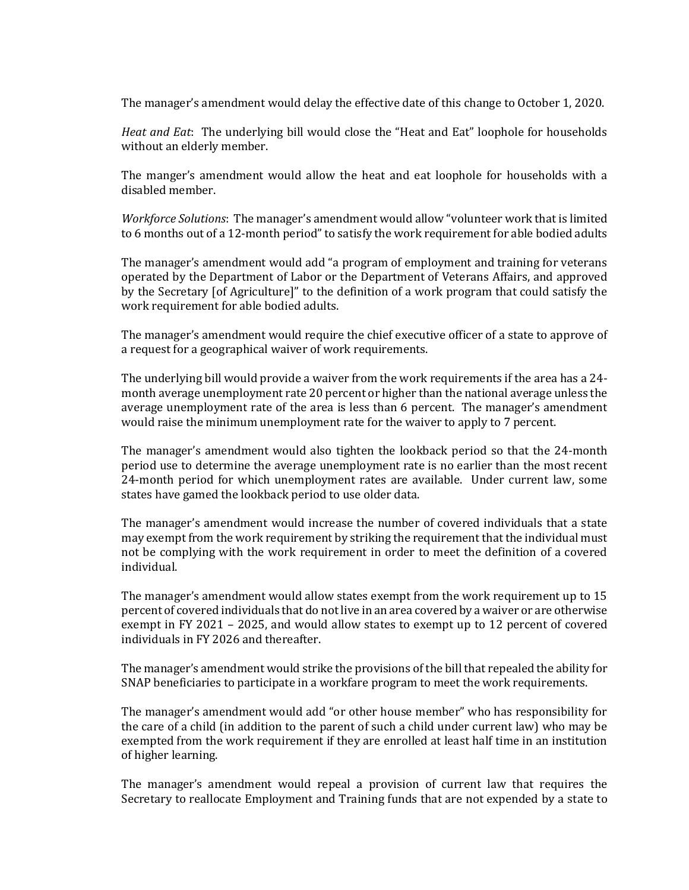The manager's amendment would delay the effective date of this change to October 1, 2020.

*Heat and Eat*: The underlying bill would close the "Heat and Eat" loophole for households without an elderly member.

The manger's amendment would allow the heat and eat loophole for households with a disabled member.

*Workforce Solutions*: The manager's amendment would allow "volunteer work that is limited to 6 months out of a 12-month period" to satisfy the work requirement for able bodied adults

The manager's amendment would add "a program of employment and training for veterans operated by the Department of Labor or the Department of Veterans Affairs, and approved by the Secretary [of Agriculture]" to the definition of a work program that could satisfy the work requirement for able bodied adults.

The manager's amendment would require the chief executive officer of a state to approve of a request for a geographical waiver of work requirements.

The underlying bill would provide a waiver from the work requirements if the area has a 24 month average unemployment rate 20 percent or higher than the national average unless the average unemployment rate of the area is less than 6 percent. The manager's amendment would raise the minimum unemployment rate for the waiver to apply to 7 percent.

The manager's amendment would also tighten the lookback period so that the 24-month period use to determine the average unemployment rate is no earlier than the most recent 24-month period for which unemployment rates are available. Under current law, some states have gamed the lookback period to use older data.

The manager's amendment would increase the number of covered individuals that a state may exempt from the work requirement by striking the requirement that the individual must not be complying with the work requirement in order to meet the definition of a covered individual.

The manager's amendment would allow states exempt from the work requirement up to 15 percent of covered individuals that do not live in an area covered by a waiver or are otherwise exempt in FY 2021 – 2025, and would allow states to exempt up to 12 percent of covered individuals in FY 2026 and thereafter.

The manager's amendment would strike the provisions of the bill that repealed the ability for SNAP beneficiaries to participate in a workfare program to meet the work requirements.

The manager's amendment would add "or other house member" who has responsibility for the care of a child (in addition to the parent of such a child under current law) who may be exempted from the work requirement if they are enrolled at least half time in an institution of higher learning.

The manager's amendment would repeal a provision of current law that requires the Secretary to reallocate Employment and Training funds that are not expended by a state to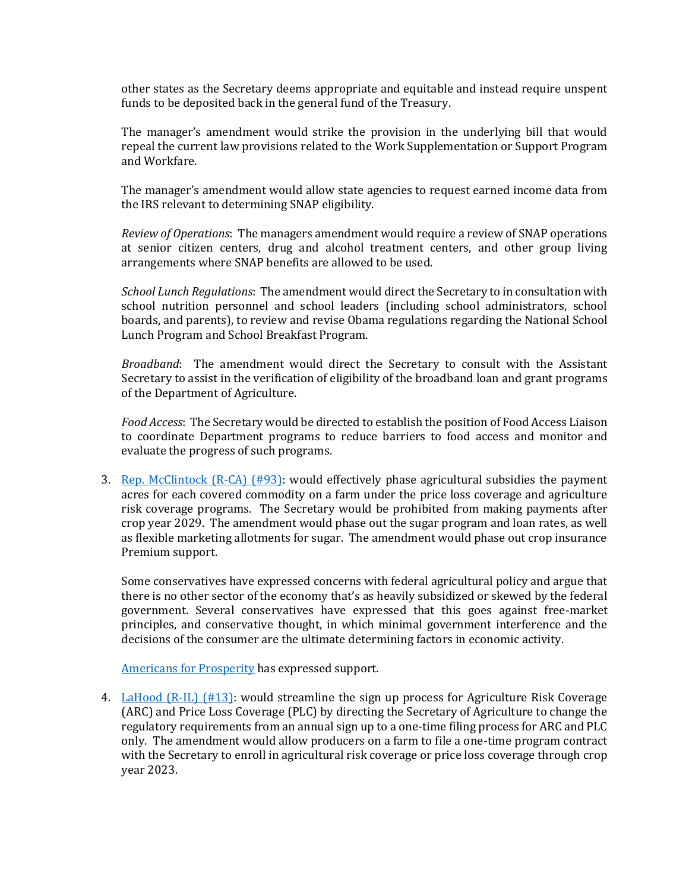other states as the Secretary deems appropriate and equitable and instead require unspent funds to be deposited back in the general fund of the Treasury.

The manager's amendment would strike the provision in the underlying bill that would repeal the current law provisions related to the Work Supplementation or Support Program and Workfare.

The manager's amendment would allow state agencies to request earned income data from the IRS relevant to determining SNAP eligibility.

*Review of Operations*: The managers amendment would require a review of SNAP operations at senior citizen centers, drug and alcohol treatment centers, and other group living arrangements where SNAP benefits are allowed to be used.

*School Lunch Regulations*: The amendment would direct the Secretary to in consultation with school nutrition personnel and school leaders (including school administrators, school boards, and parents), to review and revise Obama regulations regarding the National School Lunch Program and School Breakfast Program.

*Broadband*: The amendment would direct the Secretary to consult with the Assistant Secretary to assist in the verification of eligibility of the broadband loan and grant programs of the Department of Agriculture.

*Food Access*: The Secretary would be directed to establish the position of Food Access Liaison to coordinate Department programs to reduce barriers to food access and monitor and evaluate the progress of such programs.

3. [Rep. McClintock \(R-CA\) \(#93\):](https://amendments-rules.house.gov/amendments/MCCLIN_064_xml511180955485548.pdf) would effectively phase agricultural subsidies the payment acres for each covered commodity on a farm under the price loss coverage and agriculture risk coverage programs. The Secretary would be prohibited from making payments after crop year 2029. The amendment would phase out the sugar program and loan rates, as well as flexible marketing allotments for sugar. The amendment would phase out crop insurance Premium support.

Some conservatives have expressed concerns with federal agricultural policy and argue that there is no other sector of the economy that's as heavily subsidized or skewed by the federal government. Several conservatives have expressed that this goes against free-market principles, and conservative thought, in which minimal government interference and the decisions of the consumer are the ultimate determining factors in economic activity.

[Americans for Prosperity](https://v6mx3476r2b25580w4eit4uv-wpengine.netdna-ssl.com/wp-content/uploads/2018/05/LOS-Amendments-to-HR-2-final.pdf) has expressed support.

4. [LaHood \(R-IL\) \(#13\):](https://amendments-rules.house.gov/amendments/LaHood%20Amendment%20to%20H.R.%202510181355335533.pdf) would streamline the sign up process for Agriculture Risk Coverage (ARC) and Price Loss Coverage (PLC) by directing the Secretary of Agriculture to change the regulatory requirements from an annual sign up to a one-time filing process for ARC and PLC only. The amendment would allow producers on a farm to file a one-time program contract with the Secretary to enroll in agricultural risk coverage or price loss coverage through crop year 2023.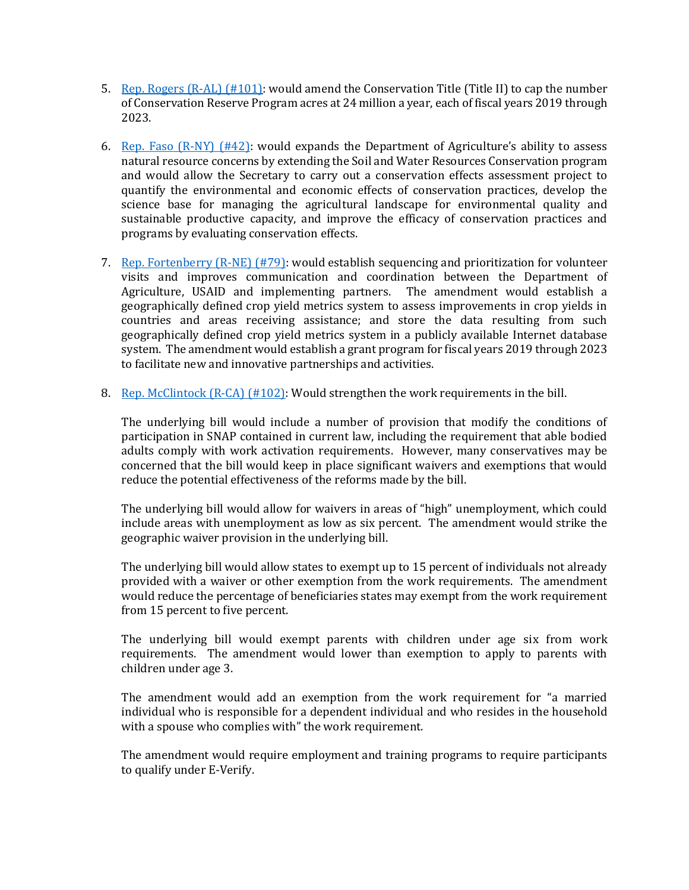- 5. [Rep. Rogers \(R-AL\) \(#101\):](https://amendments-rules.house.gov/amendments/ROGEAL_016_xml51118140359359.pdf) would amend the Conservation Title (Title II) to cap the number of Conservation Reserve Program acres at 24 million a year, each of fiscal years 2019 through 2023.
- 6. Rep. Faso  $(R-NY)$  (#42): would expands the Department of Agriculture's ability to assess natural resource concerns by extending the Soil and Water Resources Conservation program and would allow the Secretary to carry out a conservation effects assessment project to quantify the environmental and economic effects of conservation practices, develop the science base for managing the agricultural landscape for environmental quality and sustainable productive capacity, and improve the efficacy of conservation practices and programs by evaluating conservation effects.
- 7. [Rep. Fortenberry \(R-NE\) \(#79\):](https://amendments-rules.house.gov/amendments/FORTEN_045_xml%20(002)516181356105610.pdf) would establish sequencing and prioritization for volunteer visits and improves communication and coordination between the Department of Agriculture, USAID and implementing partners. The amendment would establish a geographically defined crop yield metrics system to assess improvements in crop yields in countries and areas receiving assistance; and store the data resulting from such geographically defined crop yield metrics system in a publicly available Internet database system. The amendment would establish a grant program for fiscal years 2019 through 2023 to facilitate new and innovative partnerships and activities.
- 8. Rep. McClintock  $(R-\text{CA})$  (#102): Would strengthen the work requirements in the bill.

The underlying bill would include a number of provision that modify the conditions of participation in SNAP contained in current law, including the requirement that able bodied adults comply with work activation requirements. However, many conservatives may be concerned that the bill would keep in place significant waivers and exemptions that would reduce the potential effectiveness of the reforms made by the bill.

The underlying bill would allow for waivers in areas of "high" unemployment, which could include areas with unemployment as low as six percent. The amendment would strike the geographic waiver provision in the underlying bill.

The underlying bill would allow states to exempt up to 15 percent of individuals not already provided with a waiver or other exemption from the work requirements. The amendment would reduce the percentage of beneficiaries states may exempt from the work requirement from 15 percent to five percent.

The underlying bill would exempt parents with children under age six from work requirements. The amendment would lower than exemption to apply to parents with children under age 3.

The amendment would add an exemption from the work requirement for "a married individual who is responsible for a dependent individual and who resides in the household with a spouse who complies with" the work requirement.

The amendment would require employment and training programs to require participants to qualify under E-Verify.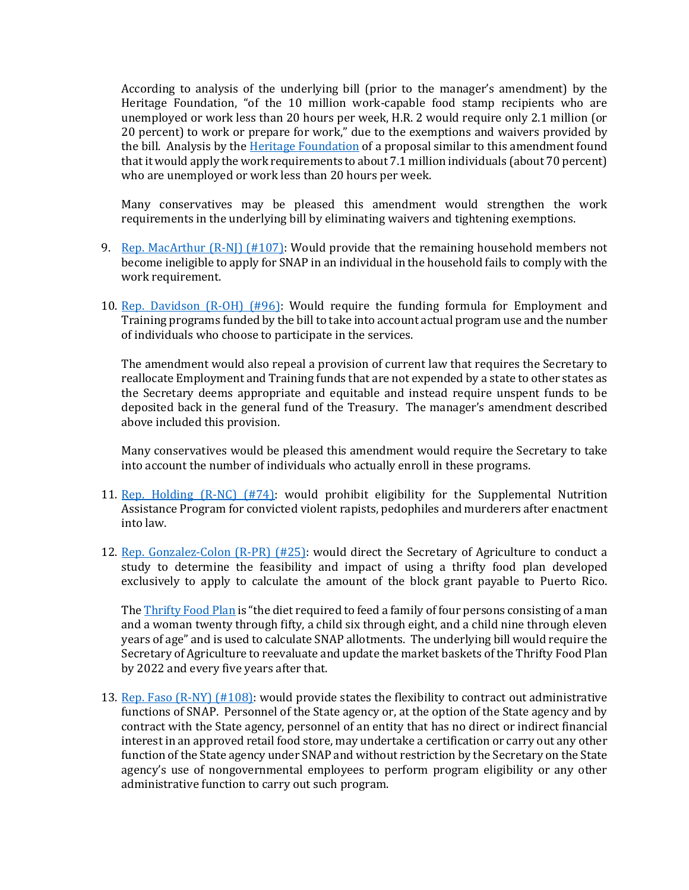According to analysis of the underlying bill (prior to the manager's amendment) by the Heritage Foundation, "of the 10 million work-capable food stamp recipients who are unemployed or work less than 20 hours per week, H.R. 2 would require only 2.1 million (or 20 percent) to work or prepare for work," due to the exemptions and waivers provided by the bill. Analysis by the [Heritage Foundation](https://www.heritage.org/hunger-and-food-programs/report/food-stamp-reform-bill-requires-work-only-20-percent-work-capable) of a proposal similar to this amendment found that it would apply the work requirements to about 7.1 million individuals (about 70 percent) who are unemployed or work less than 20 hours per week.

Many conservatives may be pleased this amendment would strengthen the work requirements in the underlying bill by eliminating waivers and tightening exemptions.

- 9. [Rep. MacArthur \(R-NJ\) \(#107\):](https://amendments-rules.house.gov/amendments/macart_301_xml%20(002)514181231573157.pdf) Would provide that the remaining household members not become ineligible to apply for SNAP in an individual in the household fails to comply with the work requirement.
- 10. [Rep. Davidson \(R-OH\) \(#96\):](https://amendments-rules.house.gov/amendments/E%20and%20T%20Usage511181058355835.pdf) Would require the funding formula for Employment and Training programs funded by the bill to take into account actual program use and the number of individuals who choose to participate in the services.

The amendment would also repeal a provision of current law that requires the Secretary to reallocate Employment and Training funds that are not expended by a state to other states as the Secretary deems appropriate and equitable and instead require unspent funds to be deposited back in the general fund of the Treasury. The manager's amendment described above included this provision.

Many conservatives would be pleased this amendment would require the Secretary to take into account the number of individuals who actually enroll in these programs.

- 11. [Rep. Holding \(R-NC\) \(#74\):](https://amendments-rules.house.gov/amendments/holdin_301_xml511180943434343.pdf) would prohibit eligibility for the Supplemental Nutrition Assistance Program for convicted violent rapists, pedophiles and murderers after enactment into law.
- 12. [Rep. Gonzalez-Colon \(R-PR\) \(#25\):](https://amendments-rules.house.gov/amendments/REVISED.%20GONZAL_301515181618211821.pdf) would direct the Secretary of Agriculture to conduct a study to determine the feasibility and impact of using a thrifty food plan developed exclusively to apply to calculate the amount of the block grant payable to Puerto Rico.

Th[e Thrifty Food Plan](https://www.cnpp.usda.gov/USDAFoodPlansCostofFood) is "the diet required to feed a family of four persons consisting of a man and a woman twenty through fifty, a child six through eight, and a child nine through eleven years of age" and is used to calculate SNAP allotments. The underlying bill would require the Secretary of Agriculture to reevaluate and update the market baskets of the Thrifty Food Plan by 2022 and every five years after that.

13. [Rep. Faso \(R-NY\) \(#108\):](https://amendments-rules.house.gov/amendments/SNAP%20Flexibility%20Final515180934373437.pdf) would provide states the flexibility to contract out administrative functions of SNAP. Personnel of the State agency or, at the option of the State agency and by contract with the State agency, personnel of an entity that has no direct or indirect financial interest in an approved retail food store, may undertake a certification or carry out any other function of the State agency under SNAP and without restriction by the Secretary on the State agency's use of nongovernmental employees to perform program eligibility or any other administrative function to carry out such program.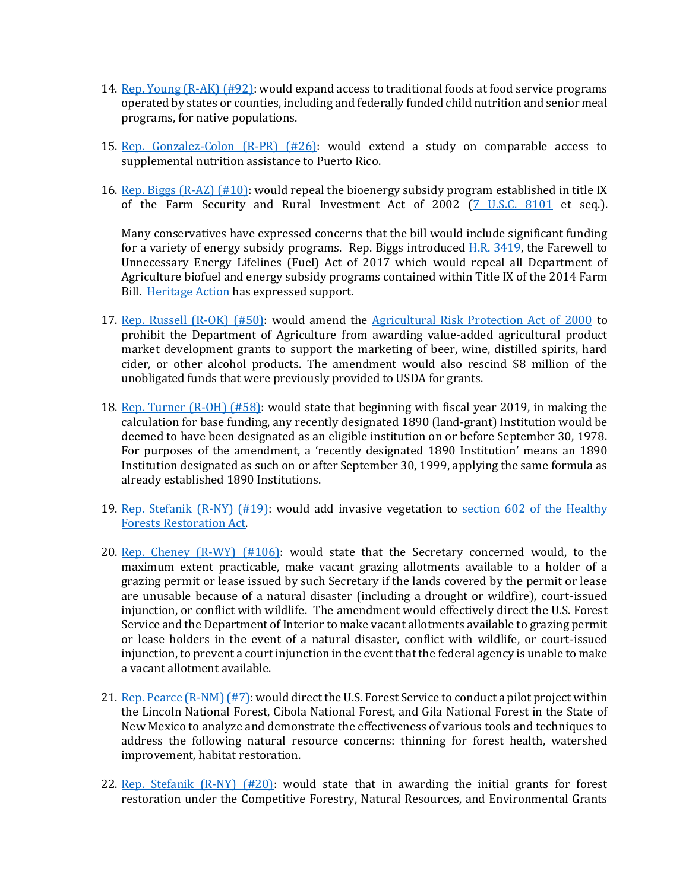- 14. [Rep. Young \(R-AK\) \(#92\):](https://amendments-rules.house.gov/amendments/young_301_xml51118100049049.pdf) would expand access to traditional foods at food service programs operated by states or counties, including and federally funded child nutrition and senior meal programs, for native populations.
- 15. Rep. Gonzalez-Colon  $(R-PR)$   $(H26)$ : would extend a study on comparable access to supplemental nutrition assistance to Puerto Rico.
- 16. Rep. Biggs  $(R-AZ)$  (#10): would repeal the bioenergy subsidy program established in title IX of the Farm Security and Rural Investment Act of 2002 [\(7 U.S.C. 8101](https://www.law.cornell.edu/uscode/text/7/chapter-107) et seq.).

Many conservatives have expressed concerns that the bill would include significant funding for a variety of energy subsidy programs. Rep. Biggs introduced [H.R. 3419,](https://www.congress.gov/115/bills/hr3419/BILLS-115hr3419ih.pdf) the Farewell to Unnecessary Energy Lifelines (Fuel) Act of 2017 which would repeal all Department of Agriculture biofuel and energy subsidy programs contained within Title IX of the 2014 Farm Bill. [Heritage Action](https://heritageaction.com/blog/heritage-action-supports-rep-andy-biggs-farewell-unnecessary-energy-lifelines) has expressed support.

- 17. [Rep. Russell \(R-OK\) \(#50\):](https://amendments-rules.house.gov/amendments/RUSSOK_095_xml51118090335335.pdf) would amend the [Agricultural Risk Protection Act of 2000](https://www.gpo.gov/fdsys/pkg/PLAW-106publ224/pdf/PLAW-106publ224.pdf) to prohibit the Department of Agriculture from awarding value-added agricultural product market development grants to support the marketing of beer, wine, distilled spirits, hard cider, or other alcohol products. The amendment would also rescind \$8 million of the unobligated funds that were previously provided to USDA for grants.
- 18. [Rep. Turner \(R-OH\) \(#58\):](https://amendments-rules.house.gov/amendments/TURNER_055_xml51418160728728.pdf) would state that beginning with fiscal year 2019, in making the calculation for base funding, any recently designated 1890 (land-grant) Institution would be deemed to have been designated as an eligible institution on or before September 30, 1978. For purposes of the amendment, a 'recently designated 1890 Institution' means an 1890 Institution designated as such on or after September 30, 1999, applying the same formula as already established 1890 Institutions.
- 19. [Rep. Stefanik \(R-NY\) \(#19\):](https://amendments-rules.house.gov/amendments/STEFNY_035_xml510181518361836.pdf) would add invasive vegetation to [section 602 of the Healthy](https://legcounsel.house.gov/Comps/Healthy%20Forests%20Restoration%20Act%20Of%202003.pdf)  [Forests Restoration Act.](https://legcounsel.house.gov/Comps/Healthy%20Forests%20Restoration%20Act%20Of%202003.pdf)
- 20. [Rep. Cheney \(R-WY\) \(#106\):](https://amendments-rules.house.gov/amendments/CHENEY_066_xml%20Amend%20Draft%201514180949124912.pdf) would state that the Secretary concerned would, to the maximum extent practicable, make vacant grazing allotments available to a holder of a grazing permit or lease issued by such Secretary if the lands covered by the permit or lease are unusable because of a natural disaster (including a drought or wildfire), court-issued injunction, or conflict with wildlife. The amendment would effectively direct the U.S. Forest Service and the Department of Interior to make vacant allotments available to grazing permit or lease holders in the event of a natural disaster, conflict with wildlife, or court-issued injunction, to prevent a court injunction in the event that the federal agency is unable to make a vacant allotment available.
- 21. [Rep. Pearce \(R-NM\) \(#7\):](https://amendments-rules.house.gov/amendments/PEARCE_085_xml510181149554955.pdf) would direct the U.S. Forest Service to conduct a pilot project within the Lincoln National Forest, Cibola National Forest, and Gila National Forest in the State of New Mexico to analyze and demonstrate the effectiveness of various tools and techniques to address the following natural resource concerns: thinning for forest health, watershed improvement, habitat restoration.
- 22. Rep. Stefanik  $(R-NY)$  (#20): would state that in awarding the initial grants for forest restoration under the Competitive Forestry, Natural Resources, and Environmental Grants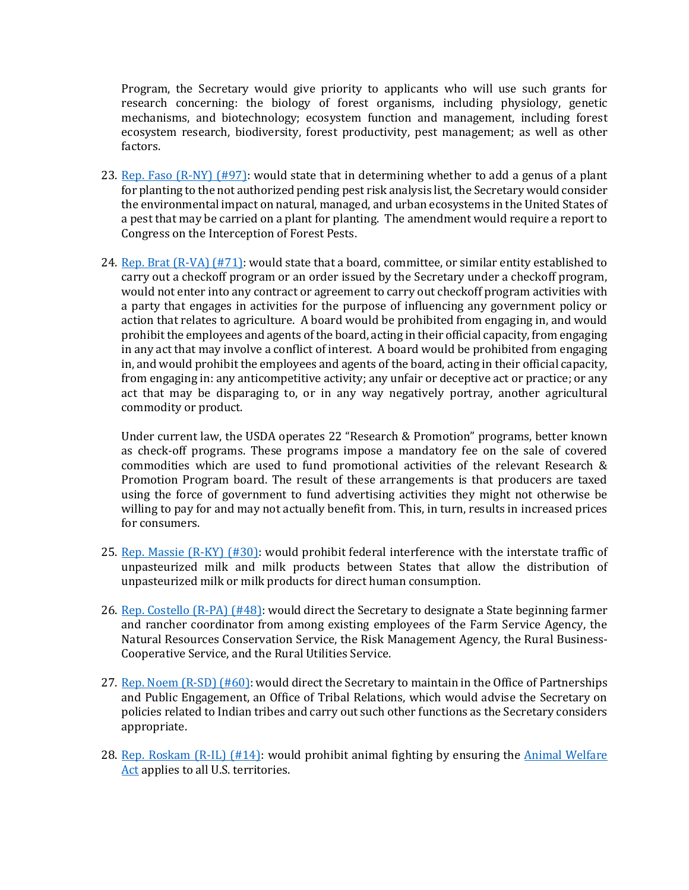Program, the Secretary would give priority to applicants who will use such grants for research concerning: the biology of forest organisms, including physiology, genetic mechanisms, and biotechnology; ecosystem function and management, including forest ecosystem research, biodiversity, forest productivity, pest management; as well as other factors.

- 23. [Rep. Faso \(R-NY\) \(#97\):](https://amendments-rules.house.gov/amendments/APHIS%20Report%20Amendment%20FINAL%20REVISED51518114103413.pdf) would state that in determining whether to add a genus of a plant for planting to the not authorized pending pest risk analysis list, the Secretary would consider the environmental impact on natural, managed, and urban ecosystems in the United States of a pest that may be carried on a plant for planting. The amendment would require a report to Congress on the Interception of Forest Pests.
- 24. [Rep. Brat \(R-VA\) \(#71\):](https://amendments-rules.house.gov/amendments/BRATVA_058_xml51118092601261.pdf) would state that a board, committee, or similar entity established to carry out a checkoff program or an order issued by the Secretary under a checkoff program, would not enter into any contract or agreement to carry out checkoff program activities with a party that engages in activities for the purpose of influencing any government policy or action that relates to agriculture. A board would be prohibited from engaging in, and would prohibit the employees and agents of the board, acting in their official capacity, from engaging in any act that may involve a conflict of interest. A board would be prohibited from engaging in, and would prohibit the employees and agents of the board, acting in their official capacity, from engaging in: any anticompetitive activity; any unfair or deceptive act or practice; or any act that may be disparaging to, or in any way negatively portray, another agricultural commodity or product.

Under current law, the USDA operates 22 "Research & Promotion" programs, better known as check-off programs. These programs impose a mandatory fee on the sale of covered commodities which are used to fund promotional activities of the relevant Research & Promotion Program board. The result of these arrangements is that producers are taxed using the force of government to fund advertising activities they might not otherwise be willing to pay for and may not actually benefit from. This, in turn, results in increased prices for consumers.

- 25. [Rep. Massie \(R-KY\) \(#30\):](https://amendments-rules.house.gov/amendments/MASSIE%2029C51018184402442.pdf) would prohibit federal interference with the interstate traffic of unpasteurized milk and milk products between States that allow the distribution of unpasteurized milk or milk products for direct human consumption.
- 26. [Rep. Costello \(R-PA\) \(#48\):](https://amendments-rules.house.gov/amendments/COSTPA_024_xml%20(5)51118090412412.pdf) would direct the Secretary to designate a State beginning farmer and rancher coordinator from among existing employees of the Farm Service Agency, the Natural Resources Conservation Service, the Risk Management Agency, the Rural Business-Cooperative Service, and the Rural Utilities Service.
- 27. [Rep. Noem \(R-SD\) \(#60\):](https://amendments-rules.house.gov/amendments/NOEM251518110819819.pdf) would direct the Secretary to maintain in the Office of Partnerships and Public Engagement, an Office of Tribal Relations, which would advise the Secretary on policies related to Indian tribes and carry out such other functions as the Secretary considers appropriate.
- 28. [Rep. Roskam \(R-IL\) \(#14\):](https://amendments-rules.house.gov/amendments/ROSKAM_053_xml51018140126126.pdf) would prohibit animal fighting by ensuring the [Animal Welfare](https://www.nal.usda.gov/awic/animal-welfare-act)  [Act](https://www.nal.usda.gov/awic/animal-welfare-act) applies to all U.S. territories.